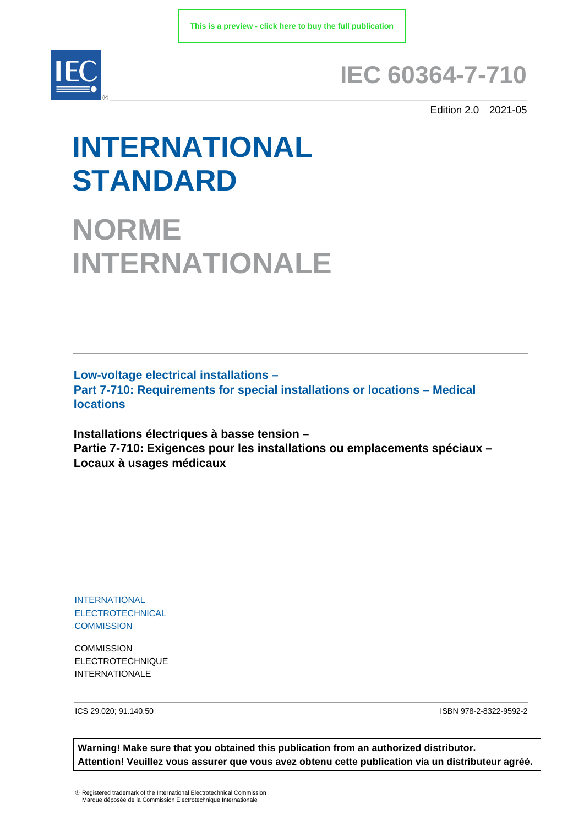

## **IEC 60364-7-710**

Edition 2.0 2021-05

# **INTERNATIONAL STANDARD**

**NORME INTERNATIONALE**

**Low-voltage electrical installations – Part 7-710: Requirements for special installations or locations – Medical locations** 

**Installations électriques à basse tension – Partie 7-710: Exigences pour les installations ou emplacements spéciaux – Locaux à usages médicaux** 

INTERNATIONAL ELECTROTECHNICAL **COMMISSION** 

**COMMISSION** ELECTROTECHNIQUE INTERNATIONALE

ICS 29.020; 91.140.50 ISBN 978-2-8322-9592-2

**Warning! Make sure that you obtained this publication from an authorized distributor. Attention! Veuillez vous assurer que vous avez obtenu cette publication via un distributeur agréé.**

® Registered trademark of the International Electrotechnical Commission Marque déposée de la Commission Electrotechnique Internationale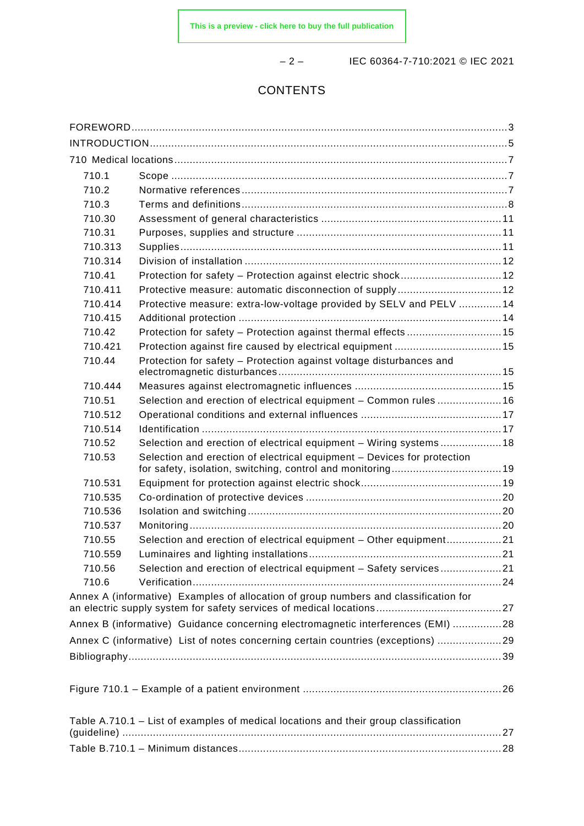– 2 – IEC 60364-7-710:2021 © IEC 2021

### **CONTENTS**

| 710.1   |                                                                                      |  |
|---------|--------------------------------------------------------------------------------------|--|
| 710.2   |                                                                                      |  |
| 710.3   |                                                                                      |  |
| 710.30  |                                                                                      |  |
| 710.31  |                                                                                      |  |
| 710.313 |                                                                                      |  |
| 710.314 |                                                                                      |  |
| 710.41  | Protection for safety - Protection against electric shock 12                         |  |
| 710.411 | Protective measure: automatic disconnection of supply 12                             |  |
| 710.414 | Protective measure: extra-low-voltage provided by SELV and PELV  14                  |  |
| 710.415 |                                                                                      |  |
| 710.42  | Protection for safety - Protection against thermal effects15                         |  |
| 710.421 |                                                                                      |  |
| 710.44  | Protection for safety - Protection against voltage disturbances and                  |  |
| 710.444 |                                                                                      |  |
| 710.51  | Selection and erection of electrical equipment - Common rules  16                    |  |
| 710.512 |                                                                                      |  |
| 710.514 |                                                                                      |  |
| 710.52  | Selection and erection of electrical equipment - Wiring systems 18                   |  |
| 710.53  | Selection and erection of electrical equipment - Devices for protection              |  |
| 710.531 |                                                                                      |  |
| 710.535 |                                                                                      |  |
| 710.536 |                                                                                      |  |
| 710.537 |                                                                                      |  |
| 710.55  | Selection and erection of electrical equipment - Other equipment21                   |  |
| 710.559 |                                                                                      |  |
| 710.56  | Selection and erection of electrical equipment - Safety services21                   |  |
| 710.6   |                                                                                      |  |
|         | Annex A (informative) Examples of allocation of group numbers and classification for |  |
|         | Annex B (informative) Guidance concerning electromagnetic interferences (EMI) 28     |  |
|         | Annex C (informative) List of notes concerning certain countries (exceptions) 29     |  |
|         |                                                                                      |  |
|         |                                                                                      |  |
|         | Table A.710.1 – List of examples of medical locations and their group classification |  |
|         |                                                                                      |  |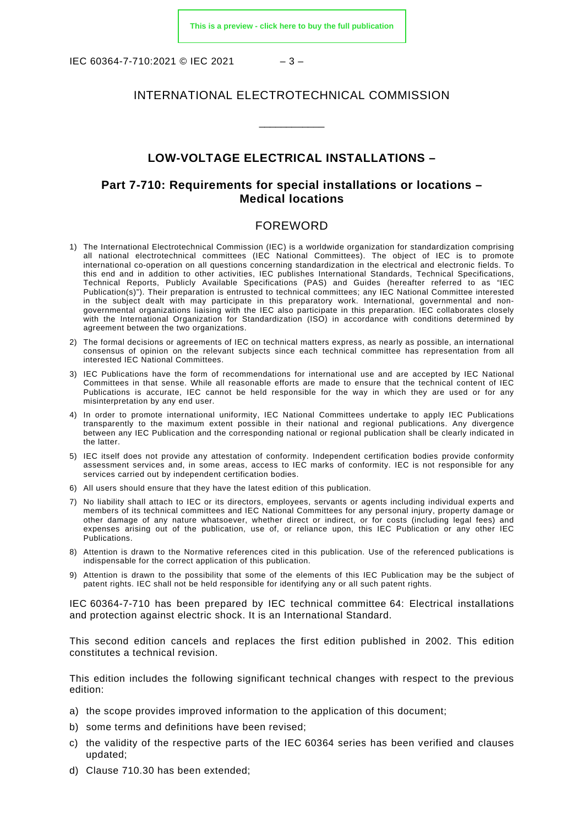IEC 60364-7-710:2021 © IEC 2021 – 3 –

#### INTERNATIONAL ELECTROTECHNICAL COMMISSION

\_\_\_\_\_\_\_\_\_\_\_\_

#### **LOW-VOLTAGE ELECTRICAL INSTALLATIONS –**

#### **Part 7-710: Requirements for special installations or locations – Medical locations**

#### FOREWORD

- <span id="page-2-0"></span>1) The International Electrotechnical Commission (IEC) is a worldwide organization for standardization comprising all national electrotechnical committees (IEC National Committees). The object of IEC is to promote international co-operation on all questions concerning standardization in the electrical and electronic fields. To this end and in addition to other activities, IEC publishes International Standards, Technical Specifications, Technical Reports, Publicly Available Specifications (PAS) and Guides (hereafter referred to as "IEC Publication(s)"). Their preparation is entrusted to technical committees; any IEC National Committee interested in the subject dealt with may participate in this preparatory work. International, governmental and nongovernmental organizations liaising with the IEC also participate in this preparation. IEC collaborates closely with the International Organization for Standardization (ISO) in accordance with conditions determined by agreement between the two organizations.
- 2) The formal decisions or agreements of IEC on technical matters express, as nearly as possible, an international consensus of opinion on the relevant subjects since each technical committee has representation from all interested IEC National Committees.
- 3) IEC Publications have the form of recommendations for international use and are accepted by IEC National Committees in that sense. While all reasonable efforts are made to ensure that the technical content of IEC Publications is accurate, IEC cannot be held responsible for the way in which they are used or for any misinterpretation by any end user.
- 4) In order to promote international uniformity, IEC National Committees undertake to apply IEC Publications transparently to the maximum extent possible in their national and regional publications. Any divergence between any IEC Publication and the corresponding national or regional publication shall be clearly indicated in the latter.
- 5) IEC itself does not provide any attestation of conformity. Independent certification bodies provide conformity assessment services and, in some areas, access to IEC marks of conformity. IEC is not responsible for any services carried out by independent certification bodies.
- 6) All users should ensure that they have the latest edition of this publication.
- 7) No liability shall attach to IEC or its directors, employees, servants or agents including individual experts and members of its technical committees and IEC National Committees for any personal injury, property damage or other damage of any nature whatsoever, whether direct or indirect, or for costs (including legal fees) and expenses arising out of the publication, use of, or reliance upon, this IEC Publication or any other IEC Publications.
- 8) Attention is drawn to the Normative references cited in this publication. Use of the referenced publications is indispensable for the correct application of this publication.
- 9) Attention is drawn to the possibility that some of the elements of this IEC Publication may be the subject of patent rights. IEC shall not be held responsible for identifying any or all such patent rights.

IEC 60364-7-710 has been prepared by IEC technical committee 64: Electrical installations and protection against electric shock. It is an International Standard.

This second edition cancels and replaces the first edition published in 2002. This edition constitutes a technical revision.

This edition includes the following significant technical changes with respect to the previous edition:

- a) the scope provides improved information to the application of this document;
- b) some terms and definitions have been revised;
- c) the validity of the respective parts of the IEC 60364 series has been verified and clauses updated;
- d) Clause 710.30 has been extended;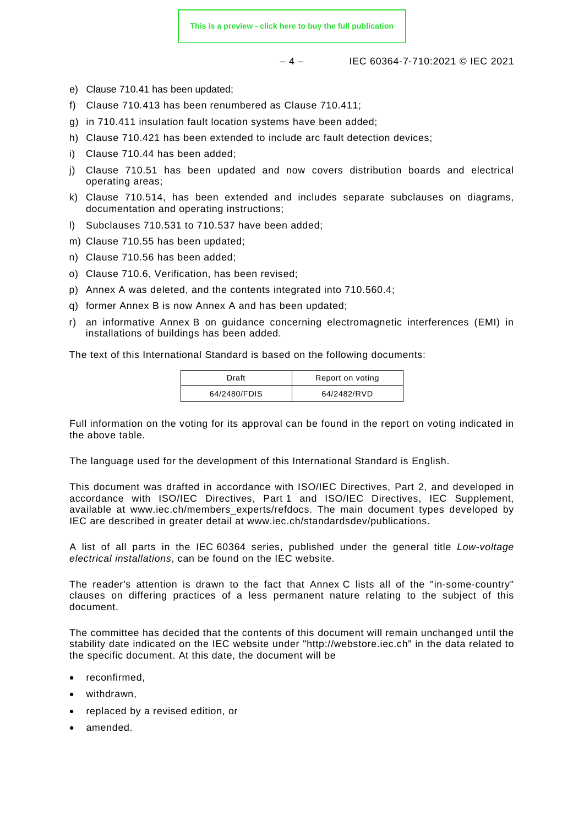– 4 – IEC 60364-7-710:2021 © IEC 2021

- e) Clause 710.41 has been updated;
- f) Clause 710.413 has been renumbered as Clause 710.411;
- g) in 710.411 insulation fault location systems have been added;
- h) Clause 710.421 has been extended to include arc fault detection devices;
- i) Clause 710.44 has been added;
- j) Clause 710.51 has been updated and now covers distribution boards and electrical operating areas;
- k) Clause 710.514, has been extended and includes separate subclauses on diagrams, documentation and operating instructions;
- l) Subclauses 710.531 to 710.537 have been added;
- m) Clause 710.55 has been updated;
- n) Clause 710.56 has been added;
- o) Clause 710.6, Verification, has been revised;
- p) Annex A was deleted, and the contents integrated into 710.560.4;
- q) former Annex B is now Annex A and has been updated;
- r) an informative Annex B on guidance concerning electromagnetic interferences (EMI) in installations of buildings has been added.

The text of this International Standard is based on the following documents:

| Draft        | Report on voting |
|--------------|------------------|
| 64/2480/FDIS | 64/2482/RVD      |

Full information on the voting for its approval can be found in the report on voting indicated in the above table.

The language used for the development of this International Standard is English.

This document was drafted in accordance with ISO/IEC Directives, Part 2, and developed in accordance with ISO/IEC Directives, Part 1 and ISO/IEC Directives, IEC Supplement, available at [www.iec.ch/members\\_experts/refdocs.](http://www.iec.ch/members_experts/refdocs) The main document types developed by IEC are described in greater detail at www.iec.ch/standardsdev/publications.

A list of all parts in the IEC 60364 series, published under the general title *Low-voltage electrical installations*, can be found on the IEC website.

The reader's attention is drawn to the fact that Annex C lists all of the "in-some-country" clauses on differing practices of a less permanent nature relating to the subject of this document.

The committee has decided that the contents of this document will remain unchanged until the stability date indicated on the IEC website under "http://webstore.iec.ch" in the data related to the specific document. At this date, the document will be

- reconfirmed,
- withdrawn.
- replaced by a revised edition, or
- amended.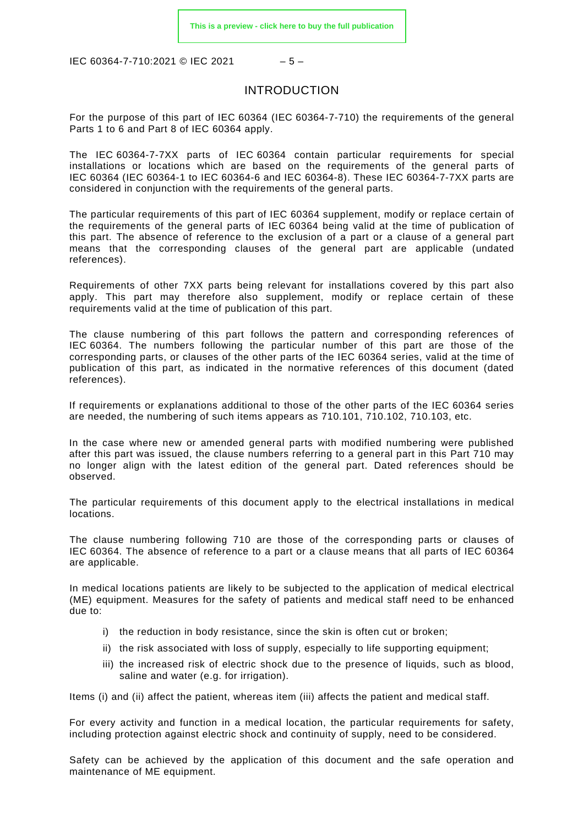<span id="page-4-0"></span>IEC 60364-7-710:2021 © IEC 2021 – 5 –

#### INTRODUCTION

For the purpose of this part of IEC 60364 (IEC 60364-7-710) the requirements of the general Parts 1 to 6 and Part 8 of IEC 60364 apply.

The IEC 60364-7-7XX parts of IEC 60364 contain particular requirements for special installations or locations which are based on the requirements of the general parts of IEC 60364 (IEC 60364-1 to IEC 60364-6 and IEC 60364-8). These IEC 60364-7-7XX parts are considered in conjunction with the requirements of the general parts.

The particular requirements of this part of IEC 60364 supplement, modify or replace certain of the requirements of the general parts of IEC 60364 being valid at the time of publication of this part. The absence of reference to the exclusion of a part or a clause of a general part means that the corresponding clauses of the general part are applicable (undated references).

Requirements of other 7XX parts being relevant for installations covered by this part also apply. This part may therefore also supplement, modify or replace certain of these requirements valid at the time of publication of this part.

The clause numbering of this part follows the pattern and corresponding references of IEC 60364. The numbers following the particular number of this part are those of the corresponding parts, or clauses of the other parts of the IEC 60364 series, valid at the time of publication of this part, as indicated in the normative references of this document (dated references).

If requirements or explanations additional to those of the other parts of the IEC 60364 series are needed, the numbering of such items appears as 710.101, 710.102, 710.103, etc.

In the case where new or amended general parts with modified numbering were published after this part was issued, the clause numbers referring to a general part in this Part 710 may no longer align with the latest edition of the general part. Dated references should be observed.

The particular requirements of this document apply to the electrical installations in medical locations.

The clause numbering following 710 are those of the corresponding parts or clauses of IEC 60364. The absence of reference to a part or a clause means that all parts of IEC 60364 are applicable.

In medical locations patients are likely to be subjected to the application of medical electrical (ME) equipment. Measures for the safety of patients and medical staff need to be enhanced due to:

- i) the reduction in body resistance, since the skin is often cut or broken;
- ii) the risk associated with loss of supply, especially to life supporting equipment;
- iii) the increased risk of electric shock due to the presence of liquids, such as blood, saline and water (e.g. for irrigation).

Items (i) and (ii) affect the patient, whereas item (iii) affects the patient and medical staff.

For every activity and function in a medical location, the particular requirements for safety, including protection against electric shock and continuity of supply, need to be considered.

Safety can be achieved by the application of this document and the safe operation and maintenance of ME equipment.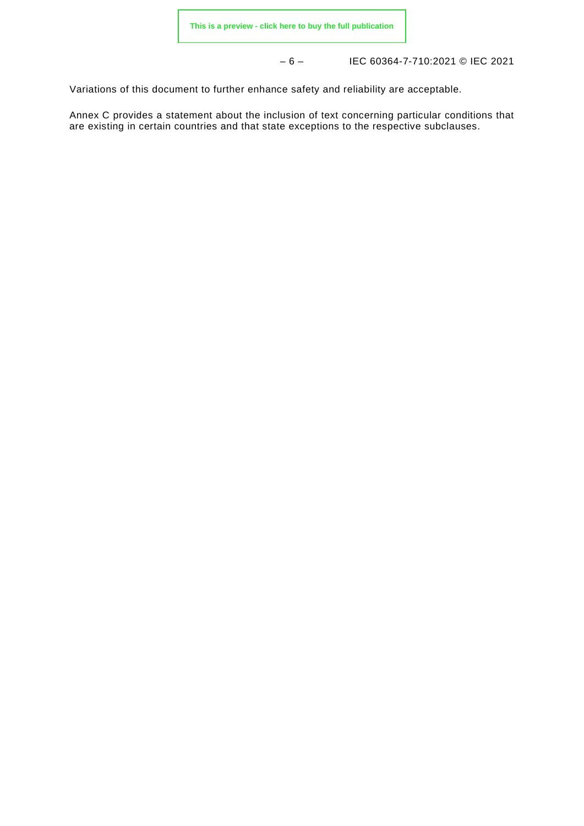– 6 – IEC 60364-7-710:2021 © IEC 2021

Variations of this document to further enhance safety and reliability are acceptable.

Annex C provides a statement about the inclusion of text concerning particular conditions that are existing in certain countries and that state exceptions to the respective subclauses.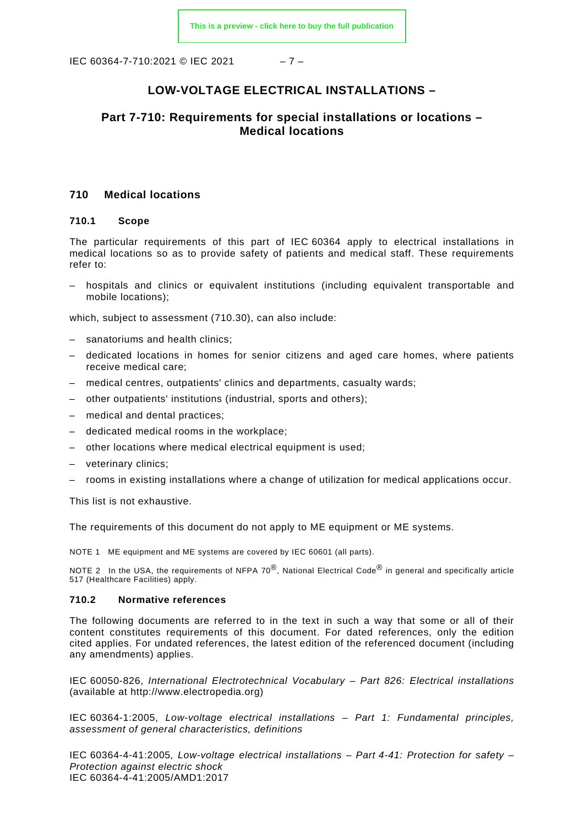IEC 60364-7-710:2021 © IEC 2021 – 7 –

#### **LOW-VOLTAGE ELECTRICAL INSTALLATIONS –**

#### **Part 7-710: Requirements for special installations or locations – Medical locations**

#### <span id="page-6-0"></span>**710 Medical locations**

#### <span id="page-6-1"></span>**710.1 Scope**

The particular requirements of this part of IEC 60364 apply to electrical installations in medical locations so as to provide safety of patients and medical staff. These requirements refer to:

– hospitals and clinics or equivalent institutions (including equivalent transportable and mobile locations);

which, subject to assessment (710.30), can also include:

- sanatoriums and health clinics;
- dedicated locations in homes for senior citizens and aged care homes, where patients receive medical care;
- medical centres, outpatients' clinics and departments, casualty wards;
- other outpatients' institutions (industrial, sports and others);
- medical and dental practices;
- dedicated medical rooms in the workplace;
- other locations where medical electrical equipment is used;
- veterinary clinics;
- rooms in existing installations where a change of utilization for medical applications occur.

This list is not exhaustive.

The requirements of this document do not apply to ME equipment or ME systems.

NOTE 1 ME equipment and ME systems are covered by IEC 60601 (all parts).

NOTE 2 In the USA, the requirements of NFPA 70 $^{\circledR}$ , National Electrical Code $^{\circledR}$  in general and specifically article 517 (Healthcare Facilities) apply.

#### <span id="page-6-2"></span>**710.2 Normative references**

The following documents are referred to in the text in such a way that some or all of their content constitutes requirements of this document. For dated references, only the edition cited applies. For undated references, the latest edition of the referenced document (including any amendments) applies.

IEC 60050-826, *International Electrotechnical Vocabulary – Part 826: Electrical installations* (available at http://www.electropedia.org)

IEC 60364-1:2005, *Low-voltage electrical installations – Part 1: Fundamental principles, assessment of general characteristics, definitions*

IEC 60364-4-41:2005*, Low-voltage electrical installations – Part 4-41: Protection for safety – Protection against electric shock*  IEC 60364-4-41:2005/AMD1:2017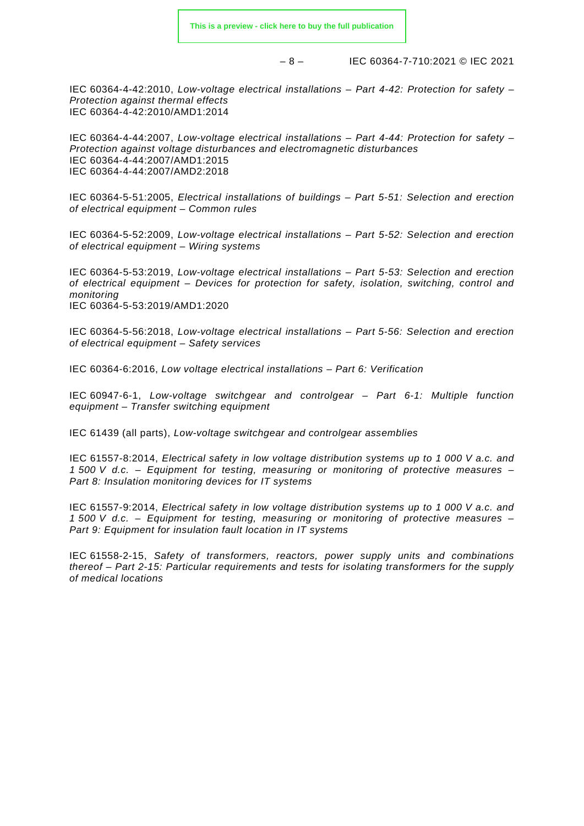– 8 – IEC 60364-7-710:2021 © IEC 2021

IEC 60364-4-42:2010, *Low-voltage electrical installations – Part 4-42: Protection for safety – Protection against thermal effects*  IEC 60364-4-42:2010/AMD1:2014

IEC 60364-4-44:2007, *Low-voltage electrical installations – Part 4-44: Protection for safety – Protection against voltage disturbances and electromagnetic disturbances*  IEC 60364-4-44:2007/AMD1:2015 IEC 60364-4-44:2007/AMD2:2018

IEC 60364-5-51:2005, *Electrical installations of buildings – Part 5-51: Selection and erection of electrical equipment – Common rules* 

IEC 60364-5-52:2009, *Low-voltage electrical installations – Part 5-52: Selection and erection of electrical equipment – Wiring systems*

IEC 60364-5-53:2019, *Low-voltage electrical installations – Part 5-53: Selection and erection of electrical equipment – Devices for protection for safety, isolation, switching, control and monitoring*  IEC 60364-5-53:2019/AMD1:2020

IEC 60364-5-56:2018, *Low-voltage electrical installations – Part 5-56: Selection and erection of electrical equipment – Safety services*

IEC 60364-6:2016, *Low voltage electrical installations – Part 6: Verification* 

IEC 60947-6-1, *Low-voltage switchgear and controlgear – Part 6-1: Multiple function equipment – Transfer switching equipment*

IEC 61439 (all parts), *Low-voltage switchgear and controlgear assemblies*

IEC 61557-8:2014, *Electrical safety in low voltage distribution systems up to 1 000 V a.c. and 1 500 V d.c. – Equipment for testing, measuring or monitoring of protective measures – Part 8: Insulation monitoring devices for IT systems*

IEC 61557-9:2014, *Electrical safety in low voltage distribution systems up to 1 000 V a.c. and 1 500 V d.c. – Equipment for testing, measuring or monitoring of protective measures – Part 9: Equipment for insulation fault location in IT systems*

<span id="page-7-0"></span>IEC 61558-2-15, *Safety of transformers, reactors, power supply units and combinations thereof – Part 2-15: Particular requirements and tests for isolating transformers for the supply of medical locations*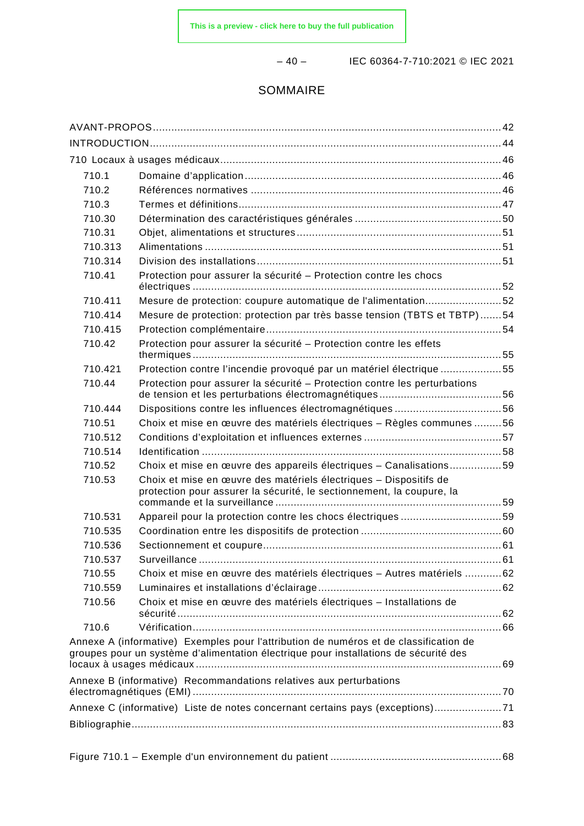– 40 – IEC 60364-7-710:2021 © IEC 2021

#### SOMMAIRE

| 710.1   |                                                                                                                                                                               |  |
|---------|-------------------------------------------------------------------------------------------------------------------------------------------------------------------------------|--|
| 710.2   |                                                                                                                                                                               |  |
| 710.3   |                                                                                                                                                                               |  |
| 710.30  |                                                                                                                                                                               |  |
| 710.31  |                                                                                                                                                                               |  |
| 710.313 |                                                                                                                                                                               |  |
| 710.314 |                                                                                                                                                                               |  |
| 710.41  | Protection pour assurer la sécurité - Protection contre les chocs                                                                                                             |  |
| 710.411 | Mesure de protection: coupure automatique de l'alimentation52                                                                                                                 |  |
| 710.414 | Mesure de protection: protection par très basse tension (TBTS et TBTP)54                                                                                                      |  |
| 710.415 |                                                                                                                                                                               |  |
| 710.42  | Protection pour assurer la sécurité - Protection contre les effets                                                                                                            |  |
| 710.421 | Protection contre l'incendie provoqué par un matériel électrique 55                                                                                                           |  |
| 710.44  | Protection pour assurer la sécurité - Protection contre les perturbations                                                                                                     |  |
| 710.444 |                                                                                                                                                                               |  |
| 710.51  | Choix et mise en œuvre des matériels électriques - Règles communes 56                                                                                                         |  |
| 710.512 |                                                                                                                                                                               |  |
| 710.514 |                                                                                                                                                                               |  |
| 710.52  | Choix et mise en œuvre des appareils électriques - Canalisations59                                                                                                            |  |
| 710.53  | Choix et mise en œuvre des matériels électriques - Dispositifs de<br>protection pour assurer la sécurité, le sectionnement, la coupure, la                                    |  |
| 710.531 | Appareil pour la protection contre les chocs électriques 59                                                                                                                   |  |
| 710.535 |                                                                                                                                                                               |  |
| 710.536 |                                                                                                                                                                               |  |
| 710.537 |                                                                                                                                                                               |  |
| 710.55  | Choix et mise en œuvre des matériels électriques - Autres matériels  62                                                                                                       |  |
| 710.559 |                                                                                                                                                                               |  |
| 710.56  | Choix et mise en œuvre des matériels électriques - Installations de                                                                                                           |  |
| 710.6   |                                                                                                                                                                               |  |
|         | Annexe A (informative) Exemples pour l'attribution de numéros et de classification de<br>groupes pour un système d'alimentation électrique pour installations de sécurité des |  |
|         |                                                                                                                                                                               |  |
|         | Annexe B (informative) Recommandations relatives aux perturbations                                                                                                            |  |
|         | Annexe C (informative) Liste de notes concernant certains pays (exceptions)71                                                                                                 |  |
|         |                                                                                                                                                                               |  |
|         |                                                                                                                                                                               |  |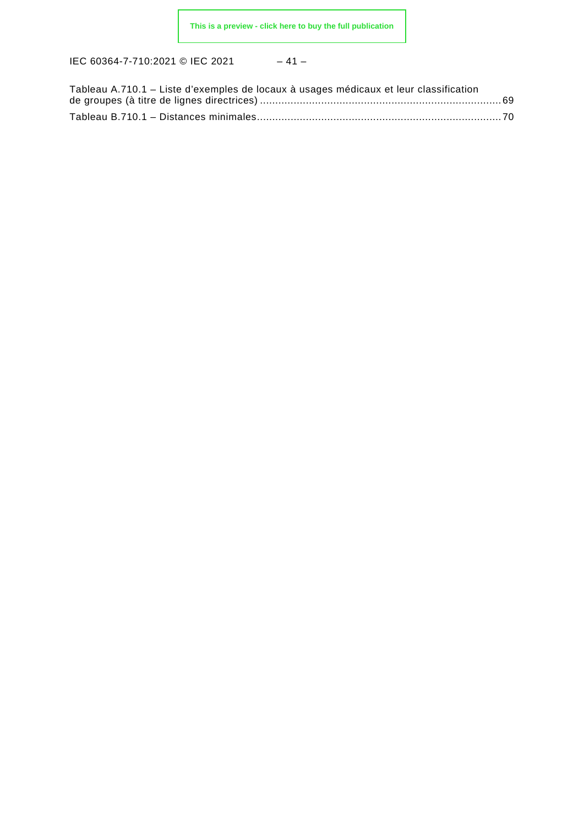IEC 60364-7-710:2021 © IEC 2021 – 41 –

| Tableau A.710.1 – Liste d'exemples de locaux à usages médicaux et leur classification |  |
|---------------------------------------------------------------------------------------|--|
|                                                                                       |  |
|                                                                                       |  |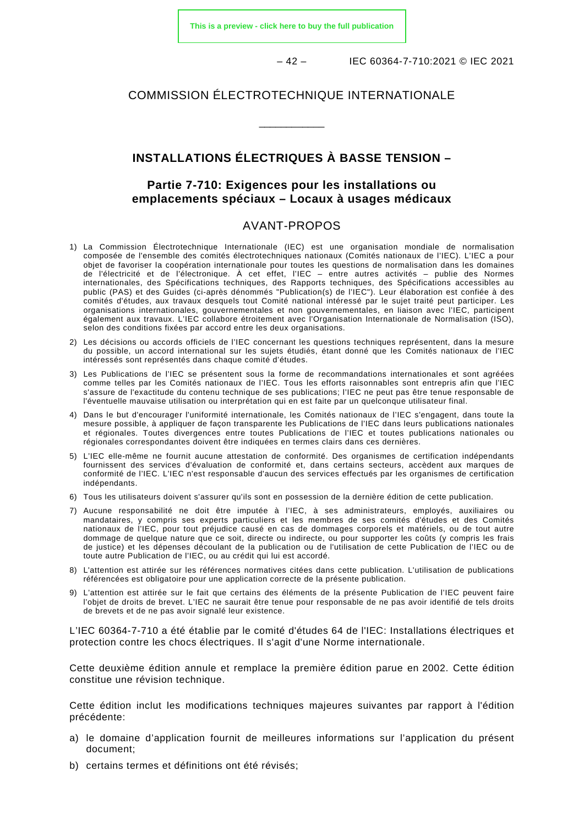**[This is a preview - click here to buy the full publication](https://webstore.iec.ch/publication/29393&preview)**

– 42 – IEC 60364-7-710:2021 © IEC 2021

#### COMMISSION ÉLECTROTECHNIQUE INTERNATIONALE

\_\_\_\_\_\_\_\_\_\_\_\_

#### **INSTALLATIONS ÉLECTRIQUES À BASSE TENSION –**

#### **Partie 7-710: Exigences pour les installations ou emplacements spéciaux – Locaux à usages médicaux**

#### AVANT-PROPOS

- <span id="page-10-0"></span>1) La Commission Électrotechnique Internationale (IEC) est une organisation mondiale de normalisation composée de l'ensemble des comités électrotechniques nationaux (Comités nationaux de l'IEC). L'IEC a pour objet de favoriser la coopération internationale pour toutes les questions de normalisation dans les domaines de l'électricité et de l'électronique. À cet effet, l'IEC – entre autres activités – publie des Normes internationales, des Spécifications techniques, des Rapports techniques, des Spécifications accessibles au public (PAS) et des Guides (ci-après dénommés "Publication(s) de l'IEC"). Leur élaboration est confiée à des comités d'études, aux travaux desquels tout Comité national intéressé par le sujet traité peut participer. Les organisations internationales, gouvernementales et non gouvernementales, en liaison avec l'IEC, participent également aux travaux. L'IEC collabore étroitement avec l'Organisation Internationale de Normalisation (ISO), selon des conditions fixées par accord entre les deux organisations.
- 2) Les décisions ou accords officiels de l'IEC concernant les questions techniques représentent, dans la mesure du possible, un accord international sur les sujets étudiés, étant donné que les Comités nationaux de l'IEC intéressés sont représentés dans chaque comité d'études.
- 3) Les Publications de l'IEC se présentent sous la forme de recommandations internationales et sont agréées comme telles par les Comités nationaux de l'IEC. Tous les efforts raisonnables sont entrepris afin que l'IEC s'assure de l'exactitude du contenu technique de ses publications; l'IEC ne peut pas être tenue responsable de l'éventuelle mauvaise utilisation ou interprétation qui en est faite par un quelconque utilisateur final.
- 4) Dans le but d'encourager l'uniformité internationale, les Comités nationaux de l'IEC s'engagent, dans toute la mesure possible, à appliquer de façon transparente les Publications de l'IEC dans leurs publications nationales et régionales. Toutes divergences entre toutes Publications de l'IEC et toutes publications nationales ou régionales correspondantes doivent être indiquées en termes clairs dans ces dernières.
- 5) L'IEC elle-même ne fournit aucune attestation de conformité. Des organismes de certification indépendants fournissent des services d'évaluation de conformité et, dans certains secteurs, accèdent aux marques de conformité de l'IEC. L'IEC n'est responsable d'aucun des services effectués par les organismes de certification indépendants.
- 6) Tous les utilisateurs doivent s'assurer qu'ils sont en possession de la dernière édition de cette publication.
- 7) Aucune responsabilité ne doit être imputée à l'IEC, à ses administrateurs, employés, auxiliaires ou mandataires, y compris ses experts particuliers et les membres de ses comités d'études et des Comités nationaux de l'IEC, pour tout préjudice causé en cas de dommages corporels et matériels, ou de tout autre dommage de quelque nature que ce soit, directe ou indirecte, ou pour supporter les coûts (y compris les frais de justice) et les dépenses découlant de la publication ou de l'utilisation de cette Publication de l'IEC ou de toute autre Publication de l'IEC, ou au crédit qui lui est accordé.
- 8) L'attention est attirée sur les références normatives citées dans cette publication. L'utilisation de publications référencées est obligatoire pour une application correcte de la présente publication.
- 9) L'attention est attirée sur le fait que certains des éléments de la présente Publication de l'IEC peuvent faire l'objet de droits de brevet. L'IEC ne saurait être tenue pour responsable de ne pas avoir identifié de tels droits de brevets et de ne pas avoir signalé leur existence.

L'IEC 60364-7-710 a été établie par le comité d'études 64 de l'IEC: Installations électriques et protection contre les chocs électriques. Il s'agit d'une Norme internationale.

Cette deuxième édition annule et remplace la première édition parue en 2002. Cette édition constitue une révision technique.

Cette édition inclut les modifications techniques majeures suivantes par rapport à l'édition précédente:

- a) le domaine d'application fournit de meilleures informations sur l'application du présent document;
- b) certains termes et définitions ont été révisés;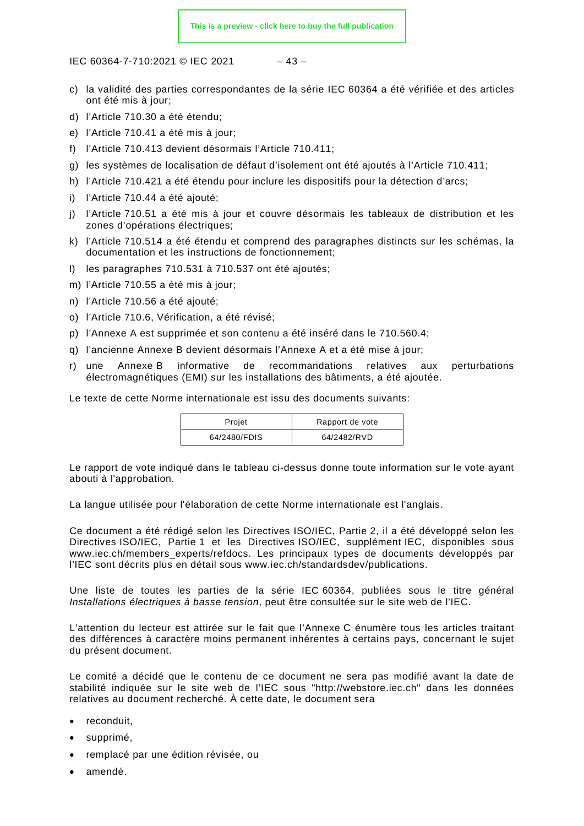IEC 60364-7-710:2021 © IEC 2021 – 43 –

- 
- c) la validité des parties correspondantes de la série IEC 60364 a été vérifiée et des articles ont été mis à jour;
- d) l'Article 710.30 a été étendu;
- e) l'Article 710.41 a été mis à jour;
- f) l'Article 710.413 devient désormais l'Article 710.411;
- g) les systèmes de localisation de défaut d'isolement ont été ajoutés à l'Article 710.411;
- h) l'Article 710.421 a été étendu pour inclure les dispositifs pour la détection d'arcs;
- i) l'Article 710.44 a été ajouté;
- j) l'Article 710.51 a été mis à jour et couvre désormais les tableaux de distribution et les zones d'opérations électriques;
- k) l'Article 710.514 a été étendu et comprend des paragraphes distincts sur les schémas, la documentation et les instructions de fonctionnement;
- l) les paragraphes 710.531 à 710.537 ont été ajoutés;
- m) l'Article 710.55 a été mis à jour;
- n) l'Article 710.56 a été ajouté;
- o) l'Article 710.6, Vérification, a été révisé;
- p) l'Annexe A est supprimée et son contenu a été inséré dans le 710.560.4;
- q) l'ancienne Annexe B devient désormais l'Annexe A et a été mise à jour;
- r) une Annexe B informative de recommandations relatives aux perturbations électromagnétiques (EMI) sur les installations des bâtiments, a été ajoutée.

Le texte de cette Norme internationale est issu des documents suivants:

| Projet       | Rapport de vote |
|--------------|-----------------|
| 64/2480/FDIS | 64/2482/RVD     |

Le rapport de vote indiqué dans le tableau ci-dessus donne toute information sur le vote ayant abouti à l'approbation.

La langue utilisée pour l'élaboration de cette Norme internationale est l'anglais.

Ce document a été rédigé selon les Directives ISO/IEC, Partie 2, il a été développé selon les Directives ISO/IEC, Partie 1 et les Directives ISO/IEC, supplément IEC, disponibles sous www.iec.ch/members experts/refdocs. Les principaux types de documents développés par l'IEC sont décrits plus en détail sous www.iec.ch/standardsdev/publications.

Une liste de toutes les parties de la série IEC 60364, publiées sous le titre général *Installations électriques à basse tension*, peut être consultée sur le site web de l'IEC.

L'attention du lecteur est attirée sur le fait que l'Annexe C énumère tous les articles traitant des différences à caractère moins permanent inhérentes à certains pays, concernant le sujet du présent document.

Le comité a décidé que le contenu de ce document ne sera pas modifié avant la date de stabilité indiquée sur le site web de l'IEC sous "http://webstore.iec.ch" dans les données relatives au document recherché. À cette date, le document sera

- reconduit,
- supprimé,
- remplacé par une édition révisée, ou
- amendé.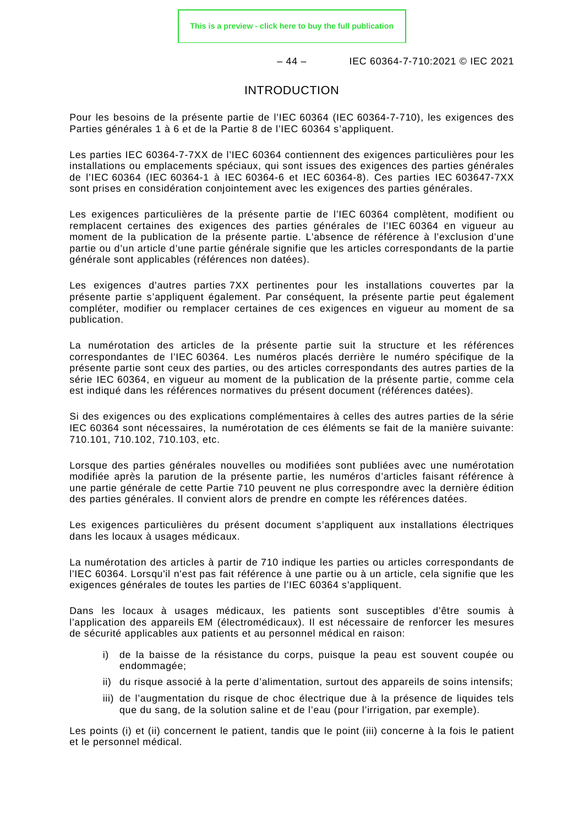– 44 – IEC 60364-7-710:2021 © IEC 2021

#### INTRODUCTION

<span id="page-12-0"></span>Pour les besoins de la présente partie de l'IEC 60364 (IEC 60364-7-710), les exigences des Parties générales 1 à 6 et de la Partie 8 de l'IEC 60364 s'appliquent.

Les parties IEC 60364-7-7XX de l'IEC 60364 contiennent des exigences particulières pour les installations ou emplacements spéciaux, qui sont issues des exigences des parties générales de l'IEC 60364 (IEC 60364-1 à IEC 60364-6 et IEC 60364-8). Ces parties IEC 603647-7XX sont prises en considération conjointement avec les exigences des parties générales.

Les exigences particulières de la présente partie de l'IEC 60364 complètent, modifient ou remplacent certaines des exigences des parties générales de l'IEC 60364 en vigueur au moment de la publication de la présente partie. L'absence de référence à l'exclusion d'une partie ou d'un article d'une partie générale signifie que les articles correspondants de la partie générale sont applicables (références non datées).

Les exigences d'autres parties 7XX pertinentes pour les installations couvertes par la présente partie s'appliquent également. Par conséquent, la présente partie peut également compléter, modifier ou remplacer certaines de ces exigences en vigueur au moment de sa publication.

La numérotation des articles de la présente partie suit la structure et les références correspondantes de l'IEC 60364. Les numéros placés derrière le numéro spécifique de la présente partie sont ceux des parties, ou des articles correspondants des autres parties de la série IEC 60364, en vigueur au moment de la publication de la présente partie, comme cela est indiqué dans les références normatives du présent document (références datées).

Si des exigences ou des explications complémentaires à celles des autres parties de la série IEC 60364 sont nécessaires, la numérotation de ces éléments se fait de la manière suivante: 710.101, 710.102, 710.103, etc.

Lorsque des parties générales nouvelles ou modifiées sont publiées avec une numérotation modifiée après la parution de la présente partie, les numéros d'articles faisant référence à une partie générale de cette Partie 710 peuvent ne plus correspondre avec la dernière édition des parties générales. Il convient alors de prendre en compte les références datées.

Les exigences particulières du présent document s'appliquent aux installations électriques dans les locaux à usages médicaux.

La numérotation des articles à partir de 710 indique les parties ou articles correspondants de l'IEC 60364. Lorsqu'il n'est pas fait référence à une partie ou à un article, cela signifie que les exigences générales de toutes les parties de l'IEC 60364 s'appliquent.

Dans les locaux à usages médicaux, les patients sont susceptibles d'être soumis à l'application des appareils EM (électromédicaux). Il est nécessaire de renforcer les mesures de sécurité applicables aux patients et au personnel médical en raison:

- i) de la baisse de la résistance du corps, puisque la peau est souvent coupée ou endommagée;
- ii) du risque associé à la perte d'alimentation, surtout des appareils de soins intensifs;
- iii) de l'augmentation du risque de choc électrique due à la présence de liquides tels que du sang, de la solution saline et de l'eau (pour l'irrigation, par exemple).

Les points (i) et (ii) concernent le patient, tandis que le point (iii) concerne à la fois le patient et le personnel médical.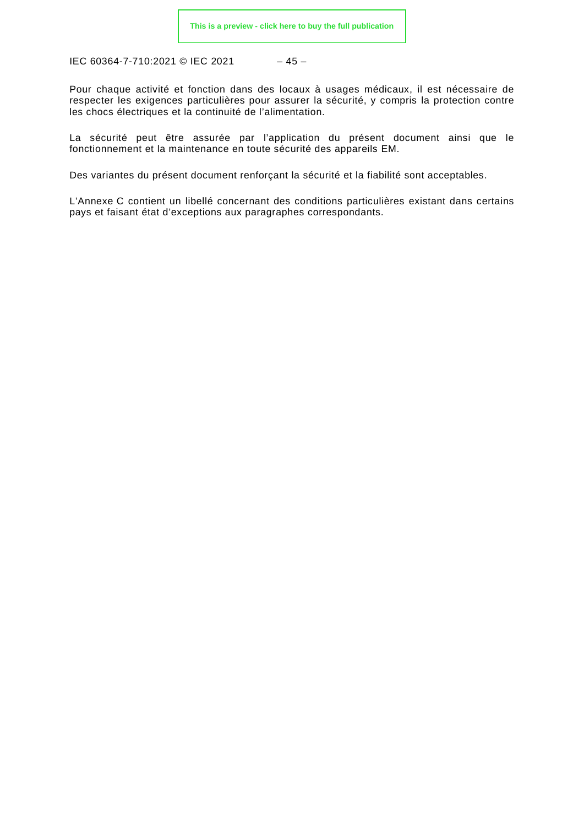IEC 60364-7-710:2021 © IEC 2021 – 45 –

Pour chaque activité et fonction dans des locaux à usages médicaux, il est nécessaire de respecter les exigences particulières pour assurer la sécurité, y compris la protection contre les chocs électriques et la continuité de l'alimentation.

La sécurité peut être assurée par l'application du présent document ainsi que le fonctionnement et la maintenance en toute sécurité des appareils EM.

Des variantes du présent document renforçant la sécurité et la fiabilité sont acceptables.

L'Annexe C contient un libellé concernant des conditions particulières existant dans certains pays et faisant état d'exceptions aux paragraphes correspondants.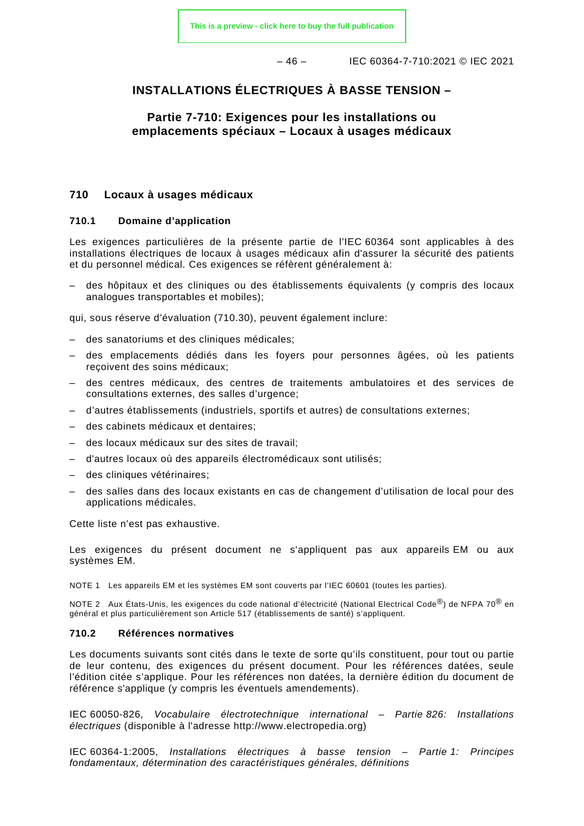– 46 – IEC 60364-7-710:2021 © IEC 2021

#### **INSTALLATIONS ÉLECTRIQUES À BASSE TENSION –**

#### **Partie 7-710: Exigences pour les installations ou emplacements spéciaux – Locaux à usages médicaux**

#### <span id="page-14-0"></span>**710 Locaux à usages médicaux**

#### <span id="page-14-1"></span>**710.1 Domaine d'application**

Les exigences particulières de la présente partie de l'IEC 60364 sont applicables à des installations électriques de locaux à usages médicaux afin d'assurer la sécurité des patients et du personnel médical. Ces exigences se réfèrent généralement à:

– des hôpitaux et des cliniques ou des établissements équivalents (y compris des locaux analogues transportables et mobiles);

qui, sous réserve d'évaluation (710.30), peuvent également inclure:

- des sanatoriums et des cliniques médicales;
- des emplacements dédiés dans les foyers pour personnes âgées, où les patients reçoivent des soins médicaux;
- des centres médicaux, des centres de traitements ambulatoires et des services de consultations externes, des salles d'urgence;
- d'autres établissements (industriels, sportifs et autres) de consultations externes;
- des cabinets médicaux et dentaires;
- des locaux médicaux sur des sites de travail;
- d'autres locaux où des appareils électromédicaux sont utilisés;
- des cliniques vétérinaires;
- des salles dans des locaux existants en cas de changement d'utilisation de local pour des applications médicales.

Cette liste n'est pas exhaustive.

Les exigences du présent document ne s'appliquent pas aux appareils EM ou aux systèmes EM.

NOTE 1 Les appareils EM et les systèmes EM sont couverts par l'IEC 60601 (toutes les parties).

NOTE 2 Aux États-Unis, les exigences du code national d'électricité (National Electrical Code<sup>®</sup>) de NFPA 70<sup>®</sup> en général et plus particulièrement son Article 517 (établissements de santé) s'appliquent.

#### <span id="page-14-2"></span>**710.2 Références normatives**

Les documents suivants sont cités dans le texte de sorte qu'ils constituent, pour tout ou partie de leur contenu, des exigences du présent document. Pour les références datées, seule l'édition citée s'applique. Pour les références non datées, la dernière édition du document de référence s'applique (y compris les éventuels amendements).

IEC 60050-826, *Vocabulaire électrotechnique international – Partie 826: Installations électriques* (disponible à l'adresse http://www.electropedia.org)

IEC 60364-1:2005, *Installations électriques à basse tension – Partie 1: Principes fondamentaux, détermination des caractéristiques générales, définitions*